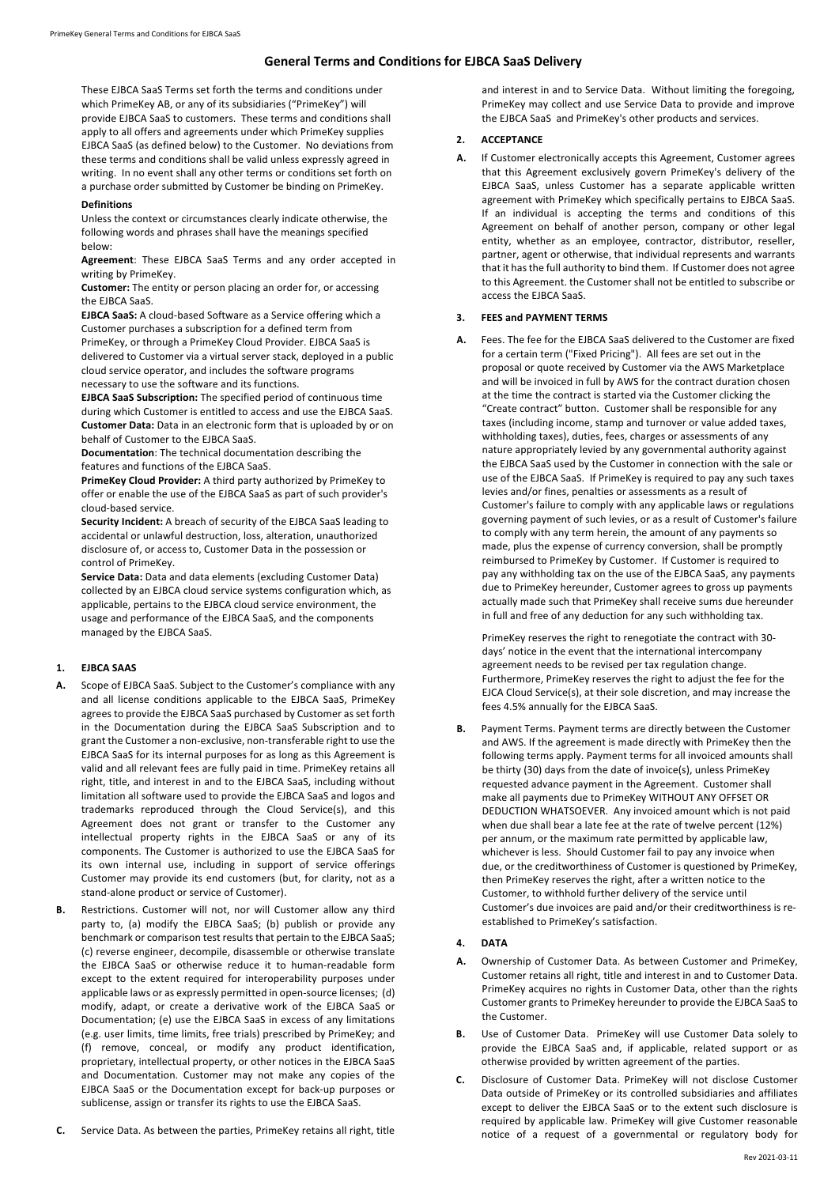## **General Terms and Conditions for EJBCA SaaS Delivery**

These EJBCA SaaS Terms set forth the terms and conditions under which PrimeKey AB, or any of its subsidiaries ("PrimeKey") will provide EJBCA SaaS to customers. These terms and conditions shall apply to all offers and agreements under which PrimeKey supplies EJBCA SaaS (as defined below) to the Customer. No deviations from these terms and conditions shall be valid unless expressly agreed in writing. In no event shall any other terms or conditions set forth on a purchase order submitted by Customer be binding on PrimeKey.

### **Definitions**

Unless the context or circumstances clearly indicate otherwise, the following words and phrases shall have the meanings specified below:

**Agreement**: These EJBCA SaaS Terms and any order accepted in writing by PrimeKey.

**Customer:** The entity or person placing an order for, or accessing the EJBCA SaaS.

**EJBCA SaaS:** A cloud-based Software as a Service offering which a Customer purchases a subscription for a defined term from PrimeKey, or through a PrimeKey Cloud Provider. EJBCA SaaS is delivered to Customer via a virtual server stack, deployed in a public cloud service operator, and includes the software programs necessary to use the software and its functions.

**EJBCA SaaS Subscription:** The specified period of continuous time during which Customer is entitled to access and use the EJBCA SaaS. **Customer Data:** Data in an electronic form that is uploaded by or on behalf of Customer to the EJBCA SaaS.

**Documentation**: The technical documentation describing the features and functions of the EJBCA SaaS.

**PrimeKey Cloud Provider:** A third party authorized by PrimeKey to offer or enable the use of the EJBCA SaaS as part of such provider's cloud-based service.

**Security Incident:** A breach of security of the EJBCA SaaS leading to accidental or unlawful destruction, loss, alteration, unauthorized disclosure of, or access to, Customer Data in the possession or control of PrimeKey.

**Service Data:** Data and data elements (excluding Customer Data) collected by an EJBCA cloud service systems configuration which, as applicable, pertains to the EJBCA cloud service environment, the usage and performance of the EJBCA SaaS, and the components managed by the EJBCA SaaS.

# **1. EJBCA SAAS**

- **A.** Scope of EJBCA SaaS. Subject to the Customer's compliance with any and all license conditions applicable to the EJBCA SaaS, PrimeKey agrees to provide the EJBCA SaaS purchased by Customer as set forth in the Documentation during the EJBCA SaaS Subscription and to grant the Customer a non-exclusive, non-transferable right to use the EJBCA SaaS for its internal purposes for as long as this Agreement is valid and all relevant fees are fully paid in time. PrimeKey retains all right, title, and interest in and to the EJBCA SaaS, including without limitation all software used to provide the EJBCA SaaS and logos and trademarks reproduced through the Cloud Service(s), and this Agreement does not grant or transfer to the Customer any intellectual property rights in the EJBCA SaaS or any of its components. The Customer is authorized to use the EJBCA SaaS for its own internal use, including in support of service offerings Customer may provide its end customers (but, for clarity, not as a stand-alone product or service of Customer).
- **B.** Restrictions. Customer will not, nor will Customer allow any third party to, (a) modify the EJBCA SaaS; (b) publish or provide any benchmark or comparison test results that pertain to the EJBCA SaaS; (c) reverse engineer, decompile, disassemble or otherwise translate the EJBCA SaaS or otherwise reduce it to human-readable form except to the extent required for interoperability purposes under applicable laws or as expressly permitted in open-source licenses; (d) modify, adapt, or create a derivative work of the EJBCA SaaS or Documentation; (e) use the EJBCA SaaS in excess of any limitations (e.g. user limits, time limits, free trials) prescribed by PrimeKey; and (f) remove, conceal, or modify any product identification, proprietary, intellectual property, or other notices in the EJBCA SaaS and Documentation. Customer may not make any copies of the EJBCA SaaS or the Documentation except for back-up purposes or sublicense, assign or transfer its rights to use the EJBCA SaaS.
- **C.** Service Data. As between the parties, PrimeKey retains all right, title

and interest in and to Service Data. Without limiting the foregoing, PrimeKey may collect and use Service Data to provide and improve the EJBCA SaaS and PrimeKey's other products and services.

### **2. ACCEPTANCE**

**A.** If Customer electronically accepts this Agreement, Customer agrees that this Agreement exclusively govern PrimeKey's delivery of the EJBCA SaaS, unless Customer has a separate applicable written agreement with PrimeKey which specifically pertains to EJBCA SaaS. If an individual is accepting the terms and conditions of this Agreement on behalf of another person, company or other legal entity, whether as an employee, contractor, distributor, reseller, partner, agent or otherwise, that individual represents and warrants that it has the full authority to bind them. If Customer does not agree to this Agreement. the Customer shall not be entitled to subscribe or access the EJBCA SaaS.

### **3. FEES and PAYMENT TERMS**

**A.** Fees. The fee for the EJBCA SaaS delivered to the Customer are fixed for a certain term ("Fixed Pricing"). All fees are set out in the proposal or quote received by Customer via the AWS Marketplace and will be invoiced in full by AWS for the contract duration chosen at the time the contract is started via the Customer clicking the "Create contract" button. Customer shall be responsible for any taxes (including income, stamp and turnover or value added taxes, withholding taxes), duties, fees, charges or assessments of any nature appropriately levied by any governmental authority against the EJBCA SaaS used by the Customer in connection with the sale or use of the EJBCA SaaS. If PrimeKey is required to pay any such taxes levies and/or fines, penalties or assessments as a result of Customer's failure to comply with any applicable laws or regulations governing payment of such levies, or as a result of Customer's failure to comply with any term herein, the amount of any payments so made, plus the expense of currency conversion, shall be promptly reimbursed to PrimeKey by Customer. If Customer is required to pay any withholding tax on the use of the EJBCA SaaS, any payments due to PrimeKey hereunder, Customer agrees to gross up payments actually made such that PrimeKey shall receive sums due hereunder in full and free of any deduction for any such withholding tax.

PrimeKey reserves the right to renegotiate the contract with 30 days' notice in the event that the international intercompany agreement needs to be revised per tax regulation change. Furthermore, PrimeKey reserves the right to adjust the fee for the EJCA Cloud Service(s), at their sole discretion, and may increase the fees 4.5% annually for the EJBCA SaaS.

**B.** Payment Terms. Payment terms are directly between the Customer and AWS. If the agreement is made directly with PrimeKey then the following terms apply. Payment terms for all invoiced amounts shall be thirty (30) days from the date of invoice(s), unless PrimeKey requested advance payment in the Agreement. Customer shall make all payments due to PrimeKey WITHOUT ANY OFFSET OR DEDUCTION WHATSOEVER. Any invoiced amount which is not paid when due shall bear a late fee at the rate of twelve percent (12%) per annum, or the maximum rate permitted by applicable law, whichever is less. Should Customer fail to pay any invoice when due, or the creditworthiness of Customer is questioned by PrimeKey, then PrimeKey reserves the right, after a written notice to the Customer, to withhold further delivery of the service until Customer's due invoices are paid and/or their creditworthiness is reestablished to PrimeKey's satisfaction.

## **4. DATA**

- **A.** Ownership of Customer Data. As between Customer and PrimeKey, Customer retains all right, title and interest in and to Customer Data. PrimeKey acquires no rights in Customer Data, other than the rights Customer grants to PrimeKey hereunder to provide the EJBCA SaaS to the Customer.
- **B.** Use of Customer Data. PrimeKey will use Customer Data solely to provide the EJBCA SaaS and, if applicable, related support or as otherwise provided by written agreement of the parties.
- **C.** Disclosure of Customer Data. PrimeKey will not disclose Customer Data outside of PrimeKey or its controlled subsidiaries and affiliates except to deliver the EJBCA SaaS or to the extent such disclosure is required by applicable law. PrimeKey will give Customer reasonable notice of a request of a governmental or regulatory body for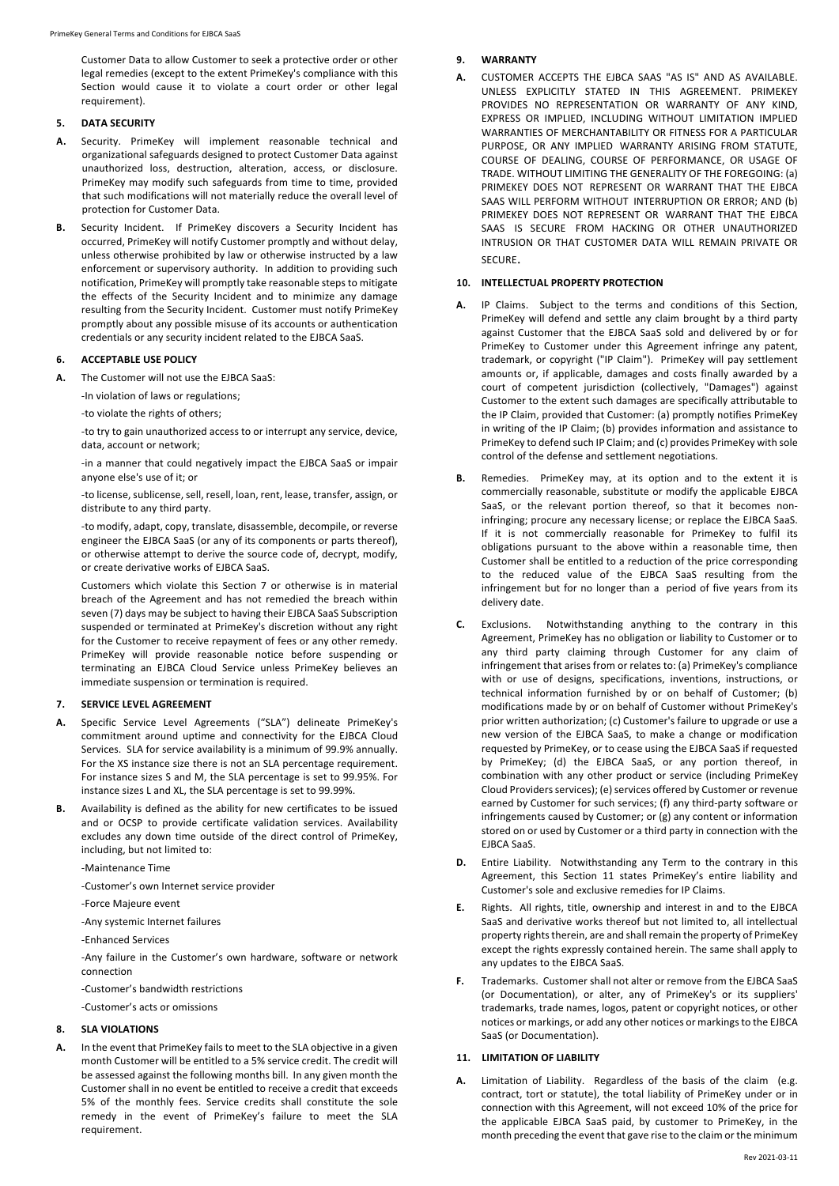Customer Data to allow Customer to seek a protective order or other legal remedies (except to the extent PrimeKey's compliance with this Section would cause it to violate a court order or other legal requirement).

#### **5. DATA SECURITY**

- **A.** Security. PrimeKey will implement reasonable technical and organizational safeguards designed to protect Customer Data against unauthorized loss, destruction, alteration, access, or disclosure. PrimeKey may modify such safeguards from time to time, provided that such modifications will not materially reduce the overall level of protection for Customer Data.
- **B.** Security Incident. If PrimeKey discovers a Security Incident has occurred, PrimeKey will notify Customer promptly and without delay, unless otherwise prohibited by law or otherwise instructed by a law enforcement or supervisory authority. In addition to providing such notification, PrimeKey will promptly take reasonable steps to mitigate the effects of the Security Incident and to minimize any damage resulting from the Security Incident. Customer must notify PrimeKey promptly about any possible misuse of its accounts or authentication credentials or any security incident related to the EJBCA SaaS.

# **6. ACCEPTABLE USE POLICY**

- **A.** The Customer will not use the EJBCA SaaS:
	- -In violation of laws or regulations;

-to violate the rights of others;

-to try to gain unauthorized access to or interrupt any service, device, data, account or network;

-in a manner that could negatively impact the EJBCA SaaS or impair anyone else's use of it; or

-to license, sublicense, sell, resell, loan, rent, lease, transfer, assign, or distribute to any third party.

-to modify, adapt, copy, translate, disassemble, decompile, or reverse engineer the EJBCA SaaS (or any of its components or parts thereof), or otherwise attempt to derive the source code of, decrypt, modify, or create derivative works of EJBCA SaaS.

Customers which violate this Section 7 or otherwise is in material breach of the Agreement and has not remedied the breach within seven (7) days may be subject to having their EJBCA SaaS Subscription suspended or terminated at PrimeKey's discretion without any right for the Customer to receive repayment of fees or any other remedy. PrimeKey will provide reasonable notice before suspending or terminating an EJBCA Cloud Service unless PrimeKey believes an immediate suspension or termination is required.

## **7. SERVICE LEVEL AGREEMENT**

- **A.** Specific Service Level Agreements ("SLA") delineate PrimeKey's commitment around uptime and connectivity for the EJBCA Cloud Services. SLA for service availability is a minimum of 99.9% annually. For the XS instance size there is not an SLA percentage requirement. For instance sizes S and M, the SLA percentage is set to 99.95%. For instance sizes L and XL, the SLA percentage is set to 99.99%.
- **B.** Availability is defined as the ability for new certificates to be issued and or OCSP to provide certificate validation services. Availability excludes any down time outside of the direct control of PrimeKey, including, but not limited to:

-Maintenance Time

-Customer's own Internet service provider

-Force Majeure event

-Any systemic Internet failures

-Enhanced Services

-Any failure in the Customer's own hardware, software or network connection

-Customer's bandwidth restrictions

-Customer's acts or omissions

# **8. SLA VIOLATIONS**

**A.** In the event that PrimeKey fails to meet to the SLA objective in a given month Customer will be entitled to a 5% service credit. The credit will be assessed against the following months bill. In any given month the Customer shall in no event be entitled to receive a credit that exceeds 5% of the monthly fees. Service credits shall constitute the sole remedy in the event of PrimeKey's failure to meet the SLA requirement.

# **9. WARRANTY**

**A.** CUSTOMER ACCEPTS THE EJBCA SAAS "AS IS" AND AS AVAILABLE. UNLESS EXPLICITLY STATED IN THIS AGREEMENT. PRIMEKEY PROVIDES NO REPRESENTATION OR WARRANTY OF ANY KIND, EXPRESS OR IMPLIED, INCLUDING WITHOUT LIMITATION IMPLIED WARRANTIES OF MERCHANTABILITY OR FITNESS FOR A PARTICULAR PURPOSE, OR ANY IMPLIED WARRANTY ARISING FROM STATUTE, COURSE OF DEALING, COURSE OF PERFORMANCE, OR USAGE OF TRADE. WITHOUT LIMITING THE GENERALITY OF THE FOREGOING: (a) PRIMEKEY DOES NOT REPRESENT OR WARRANT THAT THE EJBCA SAAS WILL PERFORM WITHOUT INTERRUPTION OR ERROR; AND (b) PRIMEKEY DOES NOT REPRESENT OR WARRANT THAT THE EJBCA SAAS IS SECURE FROM HACKING OR OTHER UNAUTHORIZED INTRUSION OR THAT CUSTOMER DATA WILL REMAIN PRIVATE OR SECURE.

### **10. INTELLECTUAL PROPERTY PROTECTION**

- **A.** IP Claims. Subject to the terms and conditions of this Section, PrimeKey will defend and settle any claim brought by a third party against Customer that the EJBCA SaaS sold and delivered by or for PrimeKey to Customer under this Agreement infringe any patent, trademark, or copyright ("IP Claim"). PrimeKey will pay settlement amounts or, if applicable, damages and costs finally awarded by a court of competent jurisdiction (collectively, "Damages") against Customer to the extent such damages are specifically attributable to the IP Claim, provided that Customer: (a) promptly notifies PrimeKey in writing of the IP Claim; (b) provides information and assistance to PrimeKey to defend such IP Claim; and (c) provides PrimeKey with sole control of the defense and settlement negotiations.
- **B.** Remedies. PrimeKey may, at its option and to the extent it is commercially reasonable, substitute or modify the applicable EJBCA SaaS, or the relevant portion thereof, so that it becomes noninfringing; procure any necessary license; or replace the EJBCA SaaS. If it is not commercially reasonable for PrimeKey to fulfil its obligations pursuant to the above within a reasonable time, then Customer shall be entitled to a reduction of the price corresponding to the reduced value of the EJBCA SaaS resulting from the infringement but for no longer than a period of five years from its delivery date.
- **C.** Exclusions. Notwithstanding anything to the contrary in this Agreement, PrimeKey has no obligation or liability to Customer or to any third party claiming through Customer for any claim of infringement that arises from or relates to: (a) PrimeKey's compliance with or use of designs, specifications, inventions, instructions, or technical information furnished by or on behalf of Customer; (b) modifications made by or on behalf of Customer without PrimeKey's prior written authorization; (c) Customer's failure to upgrade or use a new version of the EJBCA SaaS, to make a change or modification requested by PrimeKey, or to cease using the EJBCA SaaS if requested by PrimeKey; (d) the EJBCA SaaS, or any portion thereof, in combination with any other product or service (including PrimeKey Cloud Providers services); (e) services offered by Customer or revenue earned by Customer for such services; (f) any third-party software or infringements caused by Customer; or (g) any content or information stored on or used by Customer or a third party in connection with the EJBCA SaaS.
- **D.** Entire Liability. Notwithstanding any Term to the contrary in this Agreement, this Section 11 states PrimeKey's entire liability and Customer's sole and exclusive remedies for IP Claims.
- **E.** Rights. All rights, title, ownership and interest in and to the EJBCA SaaS and derivative works thereof but not limited to, all intellectual property rights therein, are and shall remain the property of PrimeKey except the rights expressly contained herein. The same shall apply to any updates to the EJBCA SaaS.
- **F.** Trademarks. Customer shall not alter or remove from the EJBCA SaaS (or Documentation), or alter, any of PrimeKey's or its suppliers' trademarks, trade names, logos, patent or copyright notices, or other notices or markings, or add any other notices or markings to the EJBCA SaaS (or Documentation).

# **11. LIMITATION OF LIABILITY**

**A.** Limitation of Liability. Regardless of the basis of the claim (e.g. contract, tort or statute), the total liability of PrimeKey under or in connection with this Agreement, will not exceed 10% of the price for the applicable EJBCA SaaS paid, by customer to PrimeKey, in the month preceding the event that gave rise to the claim or the minimum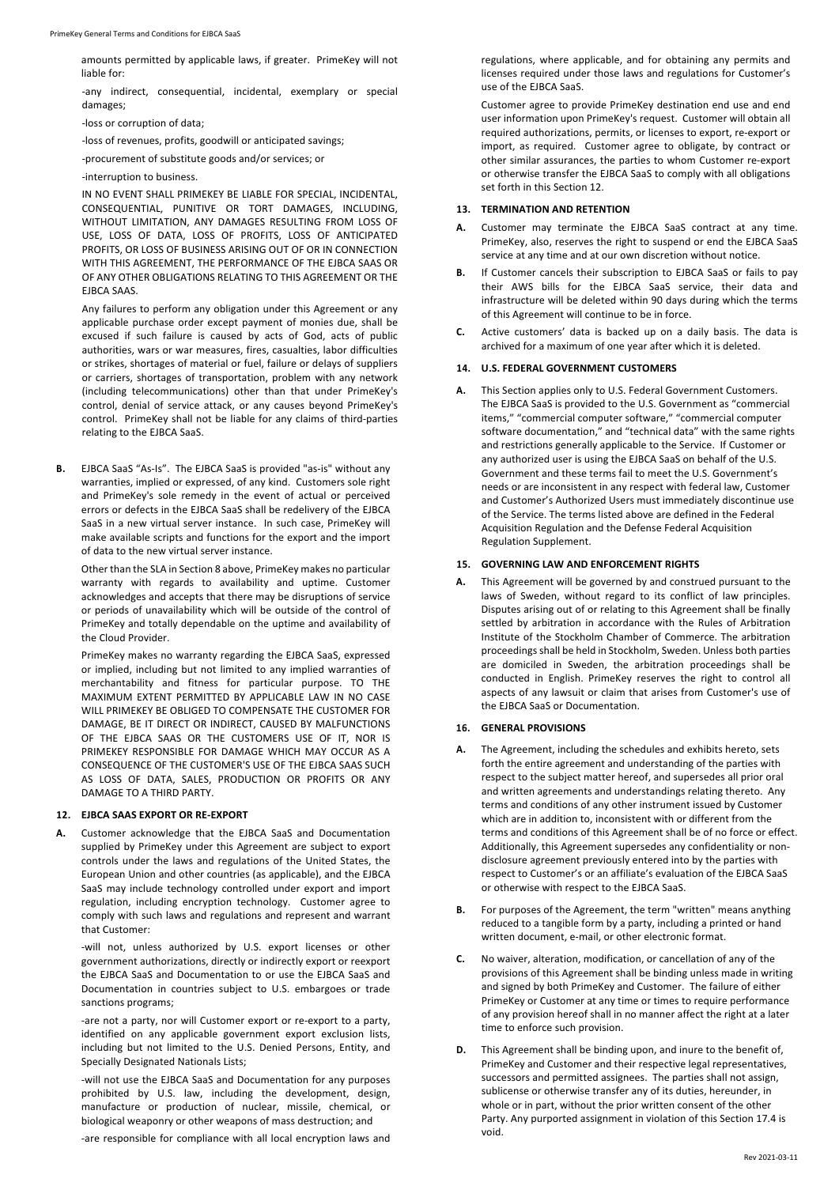amounts permitted by applicable laws, if greater. PrimeKey will not liable for:

-any indirect, consequential, incidental, exemplary or special damages;

-loss or corruption of data;

-loss of revenues, profits, goodwill or anticipated savings;

-procurement of substitute goods and/or services; or

-interruption to business.

IN NO EVENT SHALL PRIMEKEY BE LIABLE FOR SPECIAL, INCIDENTAL, CONSEQUENTIAL, PUNITIVE OR TORT DAMAGES, INCLUDING, WITHOUT LIMITATION, ANY DAMAGES RESULTING FROM LOSS OF USE, LOSS OF DATA, LOSS OF PROFITS, LOSS OF ANTICIPATED PROFITS, OR LOSS OF BUSINESS ARISING OUT OF OR IN CONNECTION WITH THIS AGREEMENT, THE PERFORMANCE OF THE EJBCA SAAS OR OF ANY OTHER OBLIGATIONS RELATING TO THIS AGREEMENT OR THE EJBCA SAAS.

Any failures to perform any obligation under this Agreement or any applicable purchase order except payment of monies due, shall be excused if such failure is caused by acts of God, acts of public authorities, wars or war measures, fires, casualties, labor difficulties or strikes, shortages of material or fuel, failure or delays of suppliers or carriers, shortages of transportation, problem with any network (including telecommunications) other than that under PrimeKey's control, denial of service attack, or any causes beyond PrimeKey's control. PrimeKey shall not be liable for any claims of third-parties relating to the EJBCA SaaS.

**B.** EJBCA SaaS "As-Is". The EJBCA SaaS is provided "as-is" without any warranties, implied or expressed, of any kind. Customers sole right and PrimeKey's sole remedy in the event of actual or perceived errors or defects in the EJBCA SaaS shall be redelivery of the EJBCA SaaS in a new virtual server instance. In such case, PrimeKey will make available scripts and functions for the export and the import of data to the new virtual server instance.

Other than the SLA in Section 8 above, PrimeKey makes no particular warranty with regards to availability and uptime. Customer acknowledges and accepts that there may be disruptions of service or periods of unavailability which will be outside of the control of PrimeKey and totally dependable on the uptime and availability of the Cloud Provider.

PrimeKey makes no warranty regarding the EJBCA SaaS, expressed or implied, including but not limited to any implied warranties of merchantability and fitness for particular purpose. TO THE MAXIMUM EXTENT PERMITTED BY APPLICABLE LAW IN NO CASE WILL PRIMEKEY BE OBLIGED TO COMPENSATE THE CUSTOMER FOR DAMAGE, BE IT DIRECT OR INDIRECT, CAUSED BY MALFUNCTIONS OF THE EJBCA SAAS OR THE CUSTOMERS USE OF IT, NOR IS PRIMEKEY RESPONSIBLE FOR DAMAGE WHICH MAY OCCUR AS A CONSEQUENCE OF THE CUSTOMER'S USE OF THE EJBCA SAAS SUCH AS LOSS OF DATA, SALES, PRODUCTION OR PROFITS OR ANY DAMAGE TO A THIRD PARTY.

#### **12. EJBCA SAAS EXPORT OR RE-EXPORT**

**A.** Customer acknowledge that the EJBCA SaaS and Documentation supplied by PrimeKey under this Agreement are subject to export controls under the laws and regulations of the United States, the European Union and other countries (as applicable), and the EJBCA SaaS may include technology controlled under export and import regulation, including encryption technology. Customer agree to comply with such laws and regulations and represent and warrant that Customer:

-will not, unless authorized by U.S. export licenses or other government authorizations, directly or indirectly export or reexport the EJBCA SaaS and Documentation to or use the EJBCA SaaS and Documentation in countries subject to U.S. embargoes or trade sanctions programs;

-are not a party, nor will Customer export or re-export to a party, identified on any applicable government export exclusion lists, including but not limited to the U.S. Denied Persons, Entity, and Specially Designated Nationals Lists;

-will not use the EJBCA SaaS and Documentation for any purposes prohibited by U.S. law, including the development, design, manufacture or production of nuclear, missile, chemical, or biological weaponry or other weapons of mass destruction; and

-are responsible for compliance with all local encryption laws and

regulations, where applicable, and for obtaining any permits and licenses required under those laws and regulations for Customer's use of the EJBCA SaaS.

Customer agree to provide PrimeKey destination end use and end user information upon PrimeKey's request. Customer will obtain all required authorizations, permits, or licenses to export, re-export or import, as required. Customer agree to obligate, by contract or other similar assurances, the parties to whom Customer re-export or otherwise transfer the EJBCA SaaS to comply with all obligations set forth in this Section 12.

#### **13. TERMINATION AND RETENTION**

- **A.** Customer may terminate the EJBCA SaaS contract at any time. PrimeKey, also, reserves the right to suspend or end the EJBCA SaaS service at any time and at our own discretion without notice.
- **B.** If Customer cancels their subscription to EJBCA SaaS or fails to pay their AWS bills for the EJBCA SaaS service, their data and infrastructure will be deleted within 90 days during which the terms of this Agreement will continue to be in force.
- **C.** Active customers' data is backed up on a daily basis. The data is archived for a maximum of one year after which it is deleted.

# **14. U.S. FEDERAL GOVERNMENT CUSTOMERS**

**A.** This Section applies only to U.S. Federal Government Customers. The EJBCA SaaS is provided to the U.S. Government as "commercial items," "commercial computer software," "commercial computer software documentation," and "technical data" with the same rights and restrictions generally applicable to the Service. If Customer or any authorized user is using the EJBCA SaaS on behalf of the U.S. Government and these terms fail to meet the U.S. Government's needs or are inconsistent in any respect with federal law, Customer and Customer's Authorized Users must immediately discontinue use of the Service. The terms listed above are defined in the Federal Acquisition Regulation and the Defense Federal Acquisition Regulation Supplement.

#### **15. GOVERNING LAW AND ENFORCEMENT RIGHTS**

**A.** This Agreement will be governed by and construed pursuant to the laws of Sweden, without regard to its conflict of law principles. Disputes arising out of or relating to this Agreement shall be finally settled by arbitration in accordance with the Rules of Arbitration Institute of the Stockholm Chamber of Commerce. The arbitration proceedings shall be held in Stockholm, Sweden. Unless both parties are domiciled in Sweden, the arbitration proceedings shall be conducted in English. PrimeKey reserves the right to control all aspects of any lawsuit or claim that arises from Customer's use of the EJBCA SaaS or Documentation.

#### **16. GENERAL PROVISIONS**

- **A.** The Agreement, including the schedules and exhibits hereto, sets forth the entire agreement and understanding of the parties with respect to the subject matter hereof, and supersedes all prior oral and written agreements and understandings relating thereto. Any terms and conditions of any other instrument issued by Customer which are in addition to, inconsistent with or different from the terms and conditions of this Agreement shall be of no force or effect. Additionally, this Agreement supersedes any confidentiality or nondisclosure agreement previously entered into by the parties with respect to Customer's or an affiliate's evaluation of the EJBCA SaaS or otherwise with respect to the EJBCA SaaS.
- **B.** For purposes of the Agreement, the term "written" means anything reduced to a tangible form by a party, including a printed or hand written document, e-mail, or other electronic format.
- **C.** No waiver, alteration, modification, or cancellation of any of the provisions of this Agreement shall be binding unless made in writing and signed by both PrimeKey and Customer. The failure of either PrimeKey or Customer at any time or times to require performance of any provision hereof shall in no manner affect the right at a later time to enforce such provision.
- **D.** This Agreement shall be binding upon, and inure to the benefit of, PrimeKey and Customer and their respective legal representatives, successors and permitted assignees. The parties shall not assign, sublicense or otherwise transfer any of its duties, hereunder, in whole or in part, without the prior written consent of the other Party. Any purported assignment in violation of this Section 17.4 is void.